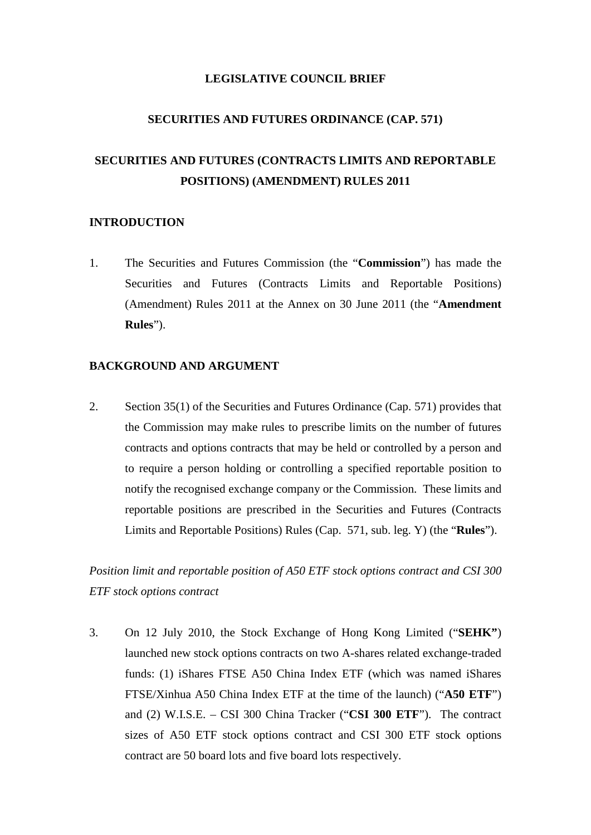### **LEGISLATIVE COUNCIL BRIEF**

### **SECURITIES AND FUTURES ORDINANCE (CAP. 571)**

# **SECURITIES AND FUTURES (CONTRACTS LIMITS AND REPORTABLE POSITIONS) (AMENDMENT) RULES 2011**

### **INTRODUCTION**

1. The Securities and Futures Commission (the "**Commission**") has made the Securities and Futures (Contracts Limits and Reportable Positions) (Amendment) Rules 2011 at the Annex on 30 June 2011 (the "**Amendment Rules**").

### **BACKGROUND AND ARGUMENT**

2. Section 35(1) of the Securities and Futures Ordinance (Cap. 571) provides that the Commission may make rules to prescribe limits on the number of futures contracts and options contracts that may be held or controlled by a person and to require a person holding or controlling a specified reportable position to notify the recognised exchange company or the Commission. These limits and reportable positions are prescribed in the Securities and Futures (Contracts Limits and Reportable Positions) Rules (Cap. 571, sub. leg. Y) (the "**Rules**").

*Position limit and reportable position of A50 ETF stock options contract and CSI 300 ETF stock options contract*

3. On 12 July 2010, the Stock Exchange of Hong Kong Limited ("**SEHK"**) launched new stock options contracts on two A-shares related exchange-traded funds: (1) iShares FTSE A50 China Index ETF (which was named iShares FTSE/Xinhua A50 China Index ETF at the time of the launch) ("**A50 ETF**") and (2) W.I.S.E. – CSI 300 China Tracker ("**CSI 300 ETF**"). The contract sizes of A50 ETF stock options contract and CSI 300 ETF stock options contract are 50 board lots and five board lots respectively.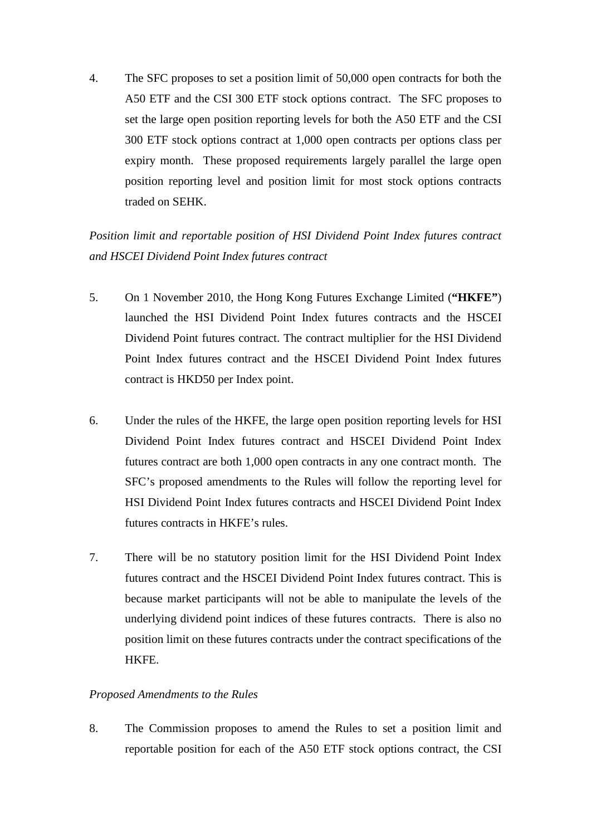4. The SFC proposes to set a position limit of 50,000 open contracts for both the A50 ETF and the CSI 300 ETF stock options contract. The SFC proposes to set the large open position reporting levels for both the A50 ETF and the CSI 300 ETF stock options contract at 1,000 open contracts per options class per expiry month. These proposed requirements largely parallel the large open position reporting level and position limit for most stock options contracts traded on SEHK.

# *Position limit and reportable position of HSI Dividend Point Index futures contract and HSCEI Dividend Point Index futures contract*

- 5. On 1 November 2010, the Hong Kong Futures Exchange Limited (**"HKFE"**) launched the HSI Dividend Point Index futures contracts and the HSCEI Dividend Point futures contract. The contract multiplier for the HSI Dividend Point Index futures contract and the HSCEI Dividend Point Index futures contract is HKD50 per Index point.
- 6. Under the rules of the HKFE, the large open position reporting levels for HSI Dividend Point Index futures contract and HSCEI Dividend Point Index futures contract are both 1,000 open contracts in any one contract month. The SFC's proposed amendments to the Rules will follow the reporting level for HSI Dividend Point Index futures contracts and HSCEI Dividend Point Index futures contracts in HKFE's rules.
- 7. There will be no statutory position limit for the HSI Dividend Point Index futures contract and the HSCEI Dividend Point Index futures contract. This is because market participants will not be able to manipulate the levels of the underlying dividend point indices of these futures contracts. There is also no position limit on these futures contracts under the contract specifications of the HKFE.

### *Proposed Amendments to the Rules*

8. The Commission proposes to amend the Rules to set a position limit and reportable position for each of the A50 ETF stock options contract, the CSI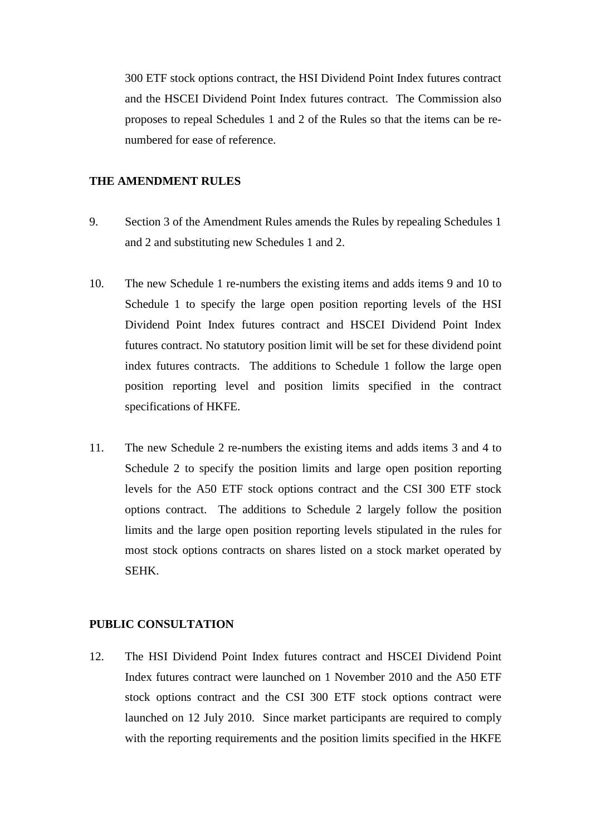300 ETF stock options contract, the HSI Dividend Point Index futures contract and the HSCEI Dividend Point Index futures contract. The Commission also proposes to repeal Schedules 1 and 2 of the Rules so that the items can be renumbered for ease of reference.

### **THE AMENDMENT RULES**

- 9. Section 3 of the Amendment Rules amends the Rules by repealing Schedules 1 and 2 and substituting new Schedules 1 and 2.
- 10. The new Schedule 1 re-numbers the existing items and adds items 9 and 10 to Schedule 1 to specify the large open position reporting levels of the HSI Dividend Point Index futures contract and HSCEI Dividend Point Index futures contract. No statutory position limit will be set for these dividend point index futures contracts. The additions to Schedule 1 follow the large open position reporting level and position limits specified in the contract specifications of HKFE.
- 11. The new Schedule 2 re-numbers the existing items and adds items 3 and 4 to Schedule 2 to specify the position limits and large open position reporting levels for the A50 ETF stock options contract and the CSI 300 ETF stock options contract. The additions to Schedule 2 largely follow the position limits and the large open position reporting levels stipulated in the rules for most stock options contracts on shares listed on a stock market operated by SEHK.

### **PUBLIC CONSULTATION**

12. The HSI Dividend Point Index futures contract and HSCEI Dividend Point Index futures contract were launched on 1 November 2010 and the A50 ETF stock options contract and the CSI 300 ETF stock options contract were launched on 12 July 2010. Since market participants are required to comply with the reporting requirements and the position limits specified in the HKFE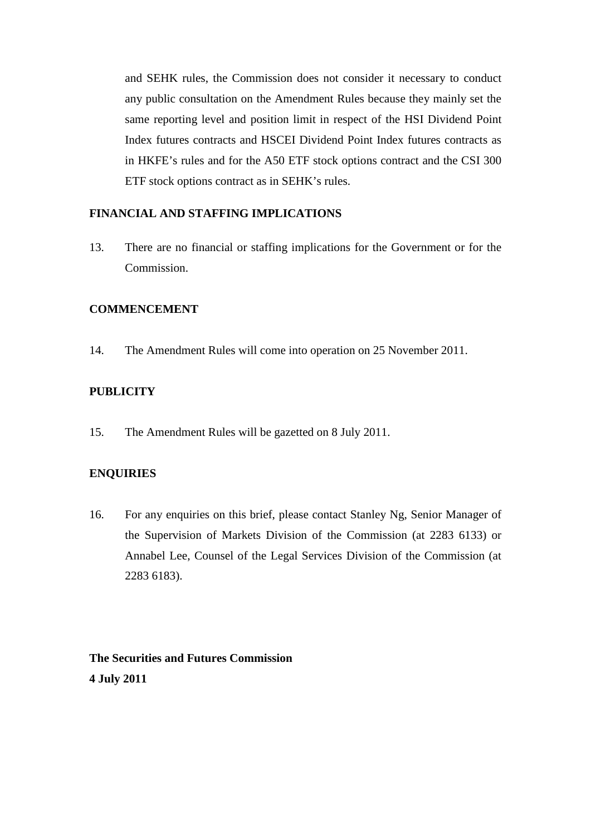and SEHK rules, the Commission does not consider it necessary to conduct any public consultation on the Amendment Rules because they mainly set the same reporting level and position limit in respect of the HSI Dividend Point Index futures contracts and HSCEI Dividend Point Index futures contracts as in HKFE's rules and for the A50 ETF stock options contract and the CSI 300 ETF stock options contract as in SEHK's rules.

## **FINANCIAL AND STAFFING IMPLICATIONS**

13. There are no financial or staffing implications for the Government or for the Commission.

### **COMMENCEMENT**

14. The Amendment Rules will come into operation on 25 November 2011.

### **PUBLICITY**

15. The Amendment Rules will be gazetted on 8 July 2011.

### **ENQUIRIES**

16. For any enquiries on this brief, please contact Stanley Ng, Senior Manager of the Supervision of Markets Division of the Commission (at 2283 6133) or Annabel Lee, Counsel of the Legal Services Division of the Commission (at 2283 6183).

# **The Securities and Futures Commission 4 July 2011**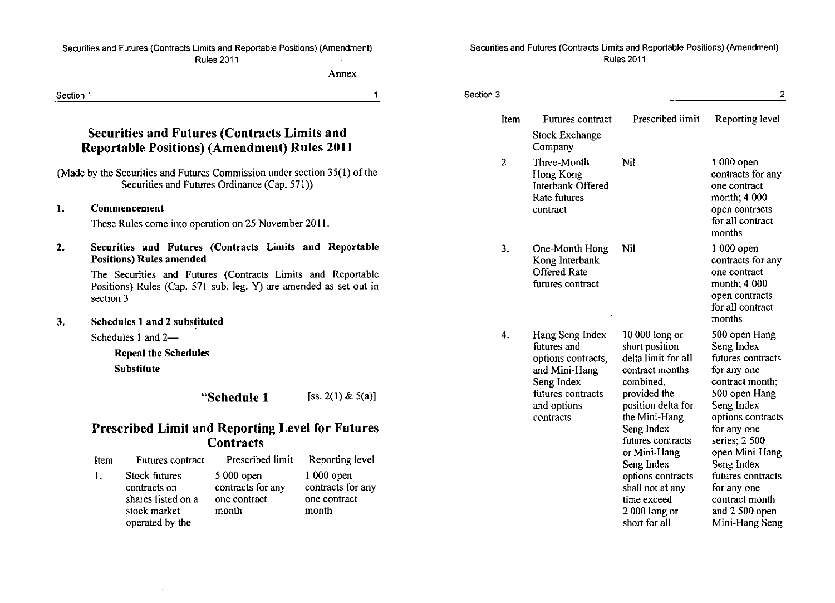#### Securities and Futures (Contracts Limits and Reportable Positions) (Amendment) Rules 2011

Annex

#### Securities and Futures (Contracts Limitsand Reportable Positions) (Amendment) Rules 2011

### **Securities and Futures (Contracts Limits and Reportable Positions) (Amendment) Rules 2011**

### 1. Commencement

#### Securities and Futures (Contracts Limits and Reportable Positions) Rules amended 2.

#### Schedules 1 and 2 substituted 3.

### **Prescribed Limit and Reporting Level for Futures Contracts**

| Item           | Futures contract                                                                       | Prescribed limit                                          | Reporting level                                           |
|----------------|----------------------------------------------------------------------------------------|-----------------------------------------------------------|-----------------------------------------------------------|
| $\mathbf{1}$ . | Stock futures<br>contracts on<br>shares listed on a<br>stock market<br>operated by the | $5000$ open<br>contracts for any<br>one contract<br>month | $1000$ open<br>contracts for any<br>one contract<br>month |

| Section 1 |            |                                                                                                                                                                                                                                |                                                                                                  | $\mathbf 1$                                                                  | Section 3 |                                                                                                                                      |                                                                                                                                                          | 2                                                                                                                                                      |
|-----------|------------|--------------------------------------------------------------------------------------------------------------------------------------------------------------------------------------------------------------------------------|--------------------------------------------------------------------------------------------------|------------------------------------------------------------------------------|-----------|--------------------------------------------------------------------------------------------------------------------------------------|----------------------------------------------------------------------------------------------------------------------------------------------------------|--------------------------------------------------------------------------------------------------------------------------------------------------------|
|           |            | <b>Securities and Futures (Contracts Limits and</b><br><b>Reportable Positions) (Amendment) Rules 2011</b>                                                                                                                     |                                                                                                  |                                                                              | Item      | <b>Futures contract</b><br><b>Stock Exchange</b><br>Company                                                                          | Prescribed limit                                                                                                                                         | Reporting level                                                                                                                                        |
|           |            | (Made by the Securities and Futures Commission under section 35(1) of the<br>Securities and Futures Ordinance (Cap. 571))                                                                                                      |                                                                                                  |                                                                              | 2.        | Three-Month<br>Hong Kong<br>Interbank Offered<br>Rate futures                                                                        | Nil                                                                                                                                                      | 1 000 open<br>contracts for any<br>one contract<br>month; 4 000                                                                                        |
| 1.        |            | Commencement<br>These Rules come into operation on 25 November 2011.                                                                                                                                                           |                                                                                                  |                                                                              |           | contract                                                                                                                             |                                                                                                                                                          | open contracts<br>for all contract<br>months                                                                                                           |
| 2.        | section 3. | Securities and Futures (Contracts Limits and Reportable<br><b>Positions) Rules amended</b><br>The Securities and Futures (Contracts Limits and Reportable<br>Positions) Rules (Cap. 571 sub. leg. Y) are amended as set out in |                                                                                                  |                                                                              | 3.        | One-Month Hong<br>Kong Interbank<br><b>Offered Rate</b><br>futures contract                                                          | Nil                                                                                                                                                      | 1 000 open<br>contracts for any<br>one contract<br>month; 4 000<br>open contracts<br>for all contract<br>months                                        |
| 3.        |            | <b>Schedules 1 and 2 substituted</b><br>Schedules 1 and 2-<br><b>Repeal the Schedules</b><br><b>Substitute</b>                                                                                                                 | "Schedule 1                                                                                      | [ss. $2(1)$ & $5(a)$ ]                                                       | 4.        | Hang Seng Index<br>futures and<br>options contracts,<br>and Mini-Hang<br>Seng Index<br>futures contracts<br>and options<br>contracts | $10000$ long or<br>short position<br>delta limit for all<br>contract months<br>combined,<br>provided the<br>position delta for<br>the Mini-Hang          | 500 open Hang<br>Seng Index<br>futures contracts<br>for any one<br>contract month;<br>500 open Hang<br>Seng Index<br>options contracts                 |
|           | Item<br>1. | <b>Prescribed Limit and Reporting Level for Futures</b><br>Futures contract<br><b>Stock futures</b><br>contracts on<br>shares listed on a<br>stock market<br>operated by the                                                   | <b>Contracts</b><br>Prescribed limit<br>5 000 open<br>contracts for any<br>one contract<br>month | Reporting level<br>$1000$ open<br>contracts for any<br>one contract<br>month |           |                                                                                                                                      | Seng Index<br>futures contracts<br>or Mini-Hang<br>Seng Index<br>options contracts<br>shall not at any<br>time exceed<br>$2000$ long or<br>short for all | for any one<br>series; 2 500<br>open Mini-Hang<br>Seng Index<br>futures contracts<br>for any one<br>contract month<br>and 2 500 open<br>Mini-Hang Seng |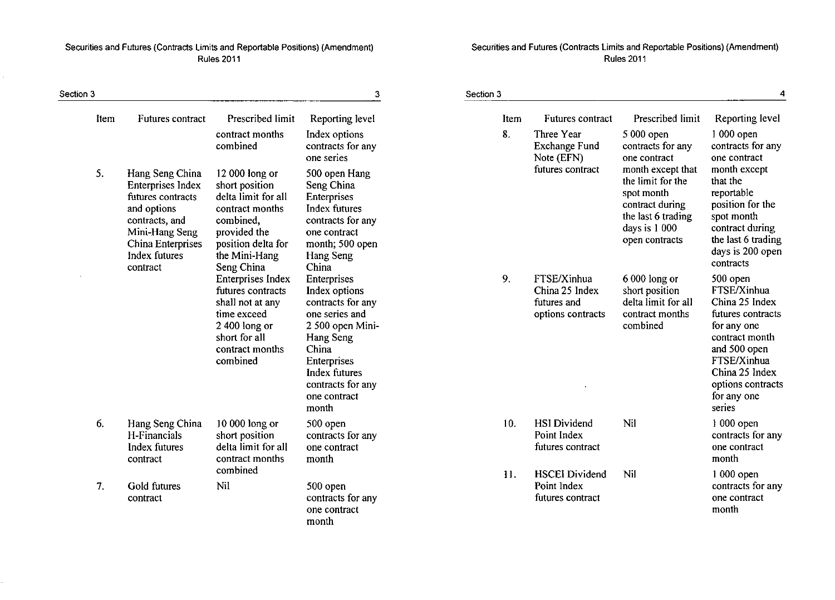### Securities and Futures (Contracts Limits and Reportable Positions) (Amendment) Securities and Futures (Contracts Limits and Reportable Positions) (Amendment)<br>Rules 2011 Rules 2011 Rules 2011

 $\epsilon$ 

| Section 3 |                                                                                                                                                                       |                                                                                                                                                              | 3                                                                                                                                                                                           | Section 3 |                                                                   |                                                                                                                                  | $\overline{4}$                                                                                                                                                                                 |
|-----------|-----------------------------------------------------------------------------------------------------------------------------------------------------------------------|--------------------------------------------------------------------------------------------------------------------------------------------------------------|---------------------------------------------------------------------------------------------------------------------------------------------------------------------------------------------|-----------|-------------------------------------------------------------------|----------------------------------------------------------------------------------------------------------------------------------|------------------------------------------------------------------------------------------------------------------------------------------------------------------------------------------------|
| Item      | <b>Futures contract</b>                                                                                                                                               | Prescribed limit                                                                                                                                             | Reporting level                                                                                                                                                                             | Item      | Futures contract                                                  | Prescribed limit                                                                                                                 | Reporting level                                                                                                                                                                                |
|           |                                                                                                                                                                       | contract months<br>combined                                                                                                                                  | Index options<br>contracts for any<br>one series                                                                                                                                            | 8.        | Three Year<br>Exchange Fund<br>Note (EFN)                         | 5 000 open<br>contracts for any<br>one contract                                                                                  | 1 000 open<br>contracts for any<br>one contract                                                                                                                                                |
| 5.        | Hang Seng China<br><b>Enterprises Index</b><br>futures contracts<br>and options<br>contracts, and<br>Mini-Hang Seng<br>China Enterprises<br>Index futures<br>contract | 12 000 long or<br>short position<br>delta limit for all<br>contract months<br>combined,<br>provided the<br>position delta for<br>the Mini-Hang<br>Seng China | 500 open Hang<br>Seng China<br>Enterprises<br>Index futures<br>contracts for any<br>one contract<br>month; 500 open<br>Hang Seng<br>China                                                   |           | futures contract                                                  | month except that<br>the limit for the<br>spot month<br>contract during<br>the last 6 trading<br>days is 1 000<br>open contracts | month except<br>that the<br>reportable<br>position for the<br>spot month<br>contract during<br>the last 6 trading<br>days is 200 open<br>contracts                                             |
|           |                                                                                                                                                                       | <b>Enterprises Index</b><br>futures contracts<br>shall not at any<br>time exceed<br>$2400$ long or<br>short for all<br>contract months<br>combined           | Enterprises<br>Index options<br>contracts for any<br>one series and<br>2 500 open Mini-<br>Hang Seng<br>China<br>Enterprises<br>Index futures<br>contracts for any<br>one contract<br>month | 9.        | FTSE/Xinhua<br>China 25 Index<br>futures and<br>options contracts | 6 000 long or<br>short position<br>delta limit for all<br>contract months<br>combined                                            | 500 open<br>FTSE/Xinhua<br>China 25 Index<br>futures contracts<br>for any one<br>contract month<br>and 500 open<br>FTSE/Xinhua<br>China 25 Index<br>options contracts<br>for any one<br>series |
| 6.        | Hang Seng China<br>H-Financials<br><b>Index futures</b><br>contract                                                                                                   | 10 000 long or<br>short position<br>delta limit for all<br>contract months                                                                                   | 500 open<br>contracts for any<br>one contract<br>month                                                                                                                                      | 10.       | <b>HSI</b> Dividend<br>Point Index<br>futures contract            | Nil                                                                                                                              | $1000$ open<br>contracts for any<br>one contract<br>month                                                                                                                                      |
| 7.        | Gold futures<br>contract                                                                                                                                              | combined<br>Nil                                                                                                                                              | 500 open<br>contracts for any<br>one contract<br>month                                                                                                                                      | 11.       | <b>HSCEI</b> Dividend<br>Point Index<br>futures contract          | Nil                                                                                                                              | 1 000 open<br>contracts for any<br>one contract<br>month                                                                                                                                       |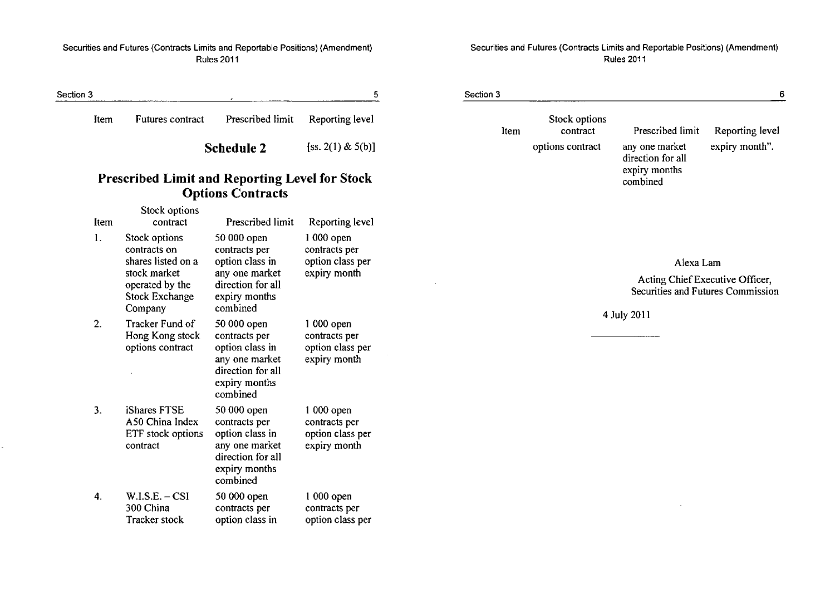### Securities and Futures (Contracts Limits and Reportable Positions) (Amendment) Rules 2011

| Section 3 |      |                  |                                  |  |
|-----------|------|------------------|----------------------------------|--|
|           | Item | Futures contract | Prescribed limit Reporting level |  |

**Schedule 2** [ss. 2(1) & 5(b)]

 $\bar{z}$ 

# **Prescribed Limit and Reporting Level for Stock Options Contracts**

| Item | Stock options<br>contract                                                                                                  | <b>Prescribed limit</b>                                                                                             | Reporting level                                                  |
|------|----------------------------------------------------------------------------------------------------------------------------|---------------------------------------------------------------------------------------------------------------------|------------------------------------------------------------------|
| 1.   | Stock options<br>contracts on<br>shares listed on a<br>stock market<br>operated by the<br><b>Stock Exchange</b><br>Company | 50 000 open<br>contracts per<br>option class in<br>any one market<br>direction for all<br>expiry months<br>combined | 1 000 open<br>contracts per<br>option class per<br>expiry month  |
| 2.   | Tracker Fund of<br>Hong Kong stock<br>options contract                                                                     | 50 000 open<br>contracts per<br>option class in<br>any one market<br>direction for all<br>expiry months<br>combined | 1 000 open<br>contracts per<br>option class per<br>expiry month  |
| 3.   | iShares FTSE<br>A50 China Index<br>ETF stock options<br>contract                                                           | 50 000 open<br>contracts per<br>option class in<br>any one market<br>direction for all<br>expiry months<br>combined | $1000$ open<br>contracts per<br>option class per<br>expiry month |
| 4.   | $W.I.S.E. - CSI$<br>300 China<br><b>Tracker stock</b>                                                                      | 50 000 open<br>contracts per<br>option class in                                                                     | 1 000 open<br>contracts per<br>option class per                  |

 $\sim$ 

| Section 3 |                           |                                                                  | 6                                                                    |
|-----------|---------------------------|------------------------------------------------------------------|----------------------------------------------------------------------|
| Item      | Stock options<br>contract | Prescribed limit                                                 | Reporting level                                                      |
|           | options contract          | any one market<br>direction for all<br>expiry months<br>combined | expiry month".                                                       |
|           |                           |                                                                  |                                                                      |
|           |                           | Alexa Lam                                                        | Acting Chief Executive Officer,<br>Securities and Futures Commission |

4 July 2011

 $\sim$ 

#### Securities and Futures (Contracts Limits and Reportable Positions) (Amendment) Rules 2011